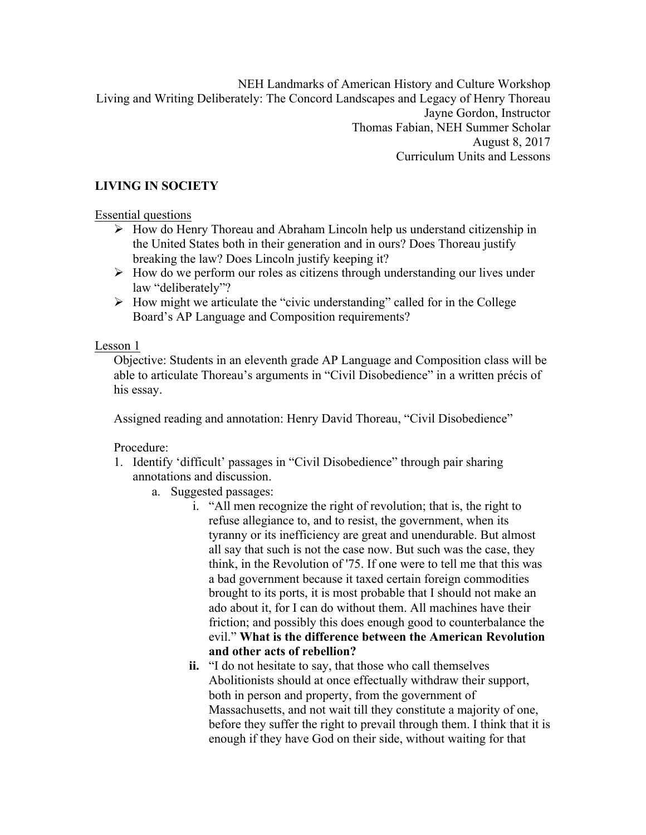NEH Landmarks of American History and Culture Workshop Living and Writing Deliberately: The Concord Landscapes and Legacy of Henry Thoreau Jayne Gordon, Instructor Thomas Fabian, NEH Summer Scholar August 8, 2017 Curriculum Units and Lessons

# **LIVING IN SOCIETY**

Essential questions

- $\triangleright$  How do Henry Thoreau and Abraham Lincoln help us understand citizenship in the United States both in their generation and in ours? Does Thoreau justify breaking the law? Does Lincoln justify keeping it?
- $\triangleright$  How do we perform our roles as citizens through understanding our lives under law "deliberately"?
- $\triangleright$  How might we articulate the "civic understanding" called for in the College Board's AP Language and Composition requirements?

Lesson 1

Objective: Students in an eleventh grade AP Language and Composition class will be able to articulate Thoreau's arguments in "Civil Disobedience" in a written précis of his essay.

Assigned reading and annotation: Henry David Thoreau, "Civil Disobedience"

- 1. Identify 'difficult' passages in "Civil Disobedience" through pair sharing annotations and discussion.
	- a. Suggested passages:
		- i. "All men recognize the right of revolution; that is, the right to refuse allegiance to, and to resist, the government, when its tyranny or its inefficiency are great and unendurable. But almost all say that such is not the case now. But such was the case, they think, in the Revolution of '75. If one were to tell me that this was a bad government because it taxed certain foreign commodities brought to its ports, it is most probable that I should not make an ado about it, for I can do without them. All machines have their friction; and possibly this does enough good to counterbalance the evil." **What is the difference between the American Revolution and other acts of rebellion?**
		- **ii.** "I do not hesitate to say, that those who call themselves Abolitionists should at once effectually withdraw their support, both in person and property, from the government of Massachusetts, and not wait till they constitute a majority of one, before they suffer the right to prevail through them. I think that it is enough if they have God on their side, without waiting for that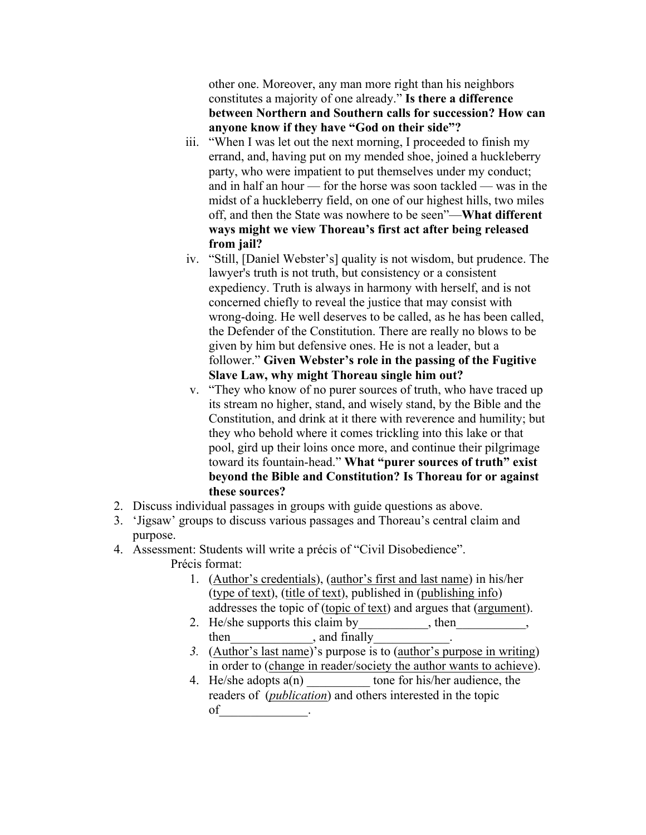other one. Moreover, any man more right than his neighbors constitutes a majority of one already." **Is there a difference between Northern and Southern calls for succession? How can anyone know if they have "God on their side"?**

- iii. "When I was let out the next morning, I proceeded to finish my errand, and, having put on my mended shoe, joined a huckleberry party, who were impatient to put themselves under my conduct; and in half an hour — for the horse was soon tackled — was in the midst of a huckleberry field, on one of our highest hills, two miles off, and then the State was nowhere to be seen"—**What different ways might we view Thoreau's first act after being released from jail?**
- iv. "Still, [Daniel Webster's] quality is not wisdom, but prudence. The lawyer's truth is not truth, but consistency or a consistent expediency. Truth is always in harmony with herself, and is not concerned chiefly to reveal the justice that may consist with wrong-doing. He well deserves to be called, as he has been called, the Defender of the Constitution. There are really no blows to be given by him but defensive ones. He is not a leader, but a follower." **Given Webster's role in the passing of the Fugitive Slave Law, why might Thoreau single him out?**
- v. "They who know of no purer sources of truth, who have traced up its stream no higher, stand, and wisely stand, by the Bible and the Constitution, and drink at it there with reverence and humility; but they who behold where it comes trickling into this lake or that pool, gird up their loins once more, and continue their pilgrimage toward its fountain-head." **What "purer sources of truth" exist beyond the Bible and Constitution? Is Thoreau for or against these sources?**
- 2. Discuss individual passages in groups with guide questions as above.
- 3. 'Jigsaw' groups to discuss various passages and Thoreau's central claim and purpose.
- 4. Assessment: Students will write a précis of "Civil Disobedience".
	- Précis format:
		- 1. (Author's credentials), (author's first and last name) in his/her (type of text), (title of text), published in (publishing info) addresses the topic of (topic of text) and argues that (argument).
		- 2. He/she supports this claim by then then  $\qquad \qquad$ , and finally
		- *3.* (Author's last name)'s purpose is to (author's purpose in writing) in order to (change in reader/society the author wants to achieve).
		- 4. He/she adopts  $a(n)$  tone for his/her audience, the readers of (*publication*) and others interested in the topic of\_\_\_\_\_\_\_\_\_\_\_\_\_\_.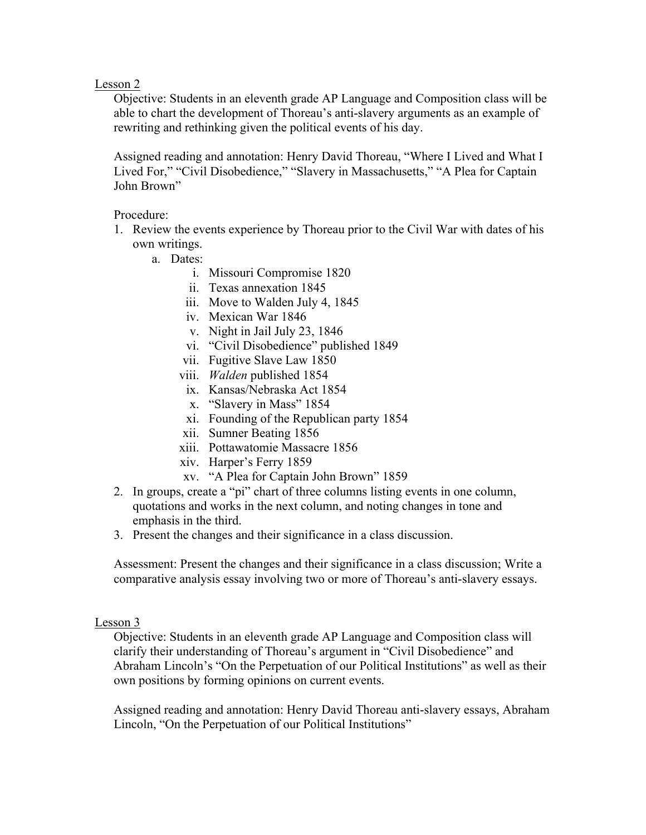Lesson 2

Objective: Students in an eleventh grade AP Language and Composition class will be able to chart the development of Thoreau's anti-slavery arguments as an example of rewriting and rethinking given the political events of his day.

Assigned reading and annotation: Henry David Thoreau, "Where I Lived and What I Lived For," "Civil Disobedience," "Slavery in Massachusetts," "A Plea for Captain John Brown"

Procedure:

- 1. Review the events experience by Thoreau prior to the Civil War with dates of his own writings.
	- a. Dates:
		- i. Missouri Compromise 1820
		- ii. Texas annexation 1845
		- iii. Move to Walden July 4, 1845
		- iv. Mexican War 1846
		- v. Night in Jail July 23, 1846
		- vi. "Civil Disobedience" published 1849
		- vii. Fugitive Slave Law 1850
		- viii. *Walden* published 1854
		- ix. Kansas/Nebraska Act 1854
		- x. "Slavery in Mass" 1854
		- xi. Founding of the Republican party 1854
		- xii. Sumner Beating 1856
		- xiii. Pottawatomie Massacre 1856
		- xiv. Harper's Ferry 1859
		- xv. "A Plea for Captain John Brown" 1859
- 2. In groups, create a "pi" chart of three columns listing events in one column, quotations and works in the next column, and noting changes in tone and emphasis in the third.
- 3. Present the changes and their significance in a class discussion.

Assessment: Present the changes and their significance in a class discussion; Write a comparative analysis essay involving two or more of Thoreau's anti-slavery essays.

#### Lesson 3

Objective: Students in an eleventh grade AP Language and Composition class will clarify their understanding of Thoreau's argument in "Civil Disobedience" and Abraham Lincoln's "On the Perpetuation of our Political Institutions" as well as their own positions by forming opinions on current events.

Assigned reading and annotation: Henry David Thoreau anti-slavery essays, Abraham Lincoln, "On the Perpetuation of our Political Institutions"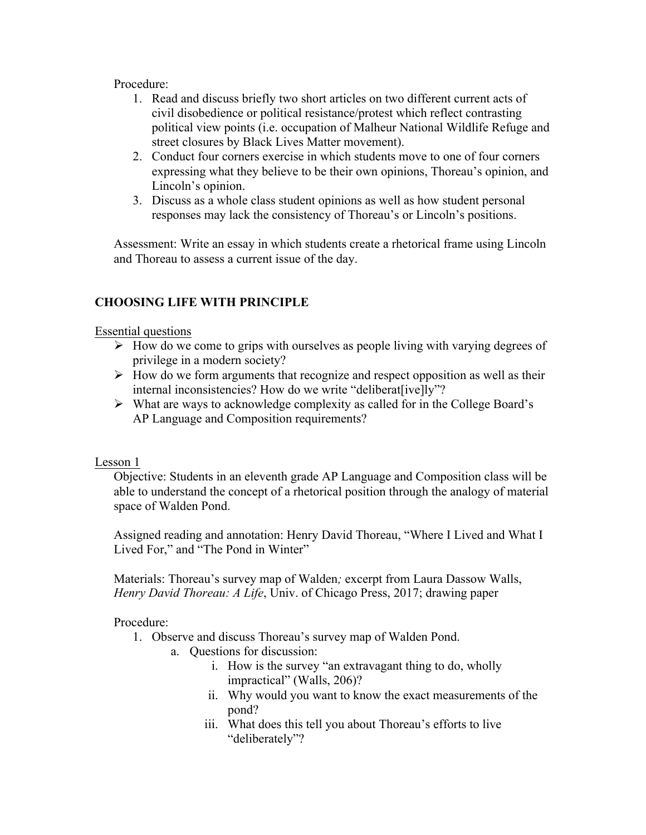### Procedure:

- 1. Read and discuss briefly two short articles on two different current acts of civil disobedience or political resistance/protest which reflect contrasting political view points (i.e. occupation of Malheur National Wildlife Refuge and street closures by Black Lives Matter movement).
- 2. Conduct four corners exercise in which students move to one of four corners expressing what they believe to be their own opinions, Thoreau's opinion, and Lincoln's opinion.
- 3. Discuss as a whole class student opinions as well as how student personal responses may lack the consistency of Thoreau's or Lincoln's positions.

Assessment: Write an essay in which students create a rhetorical frame using Lincoln and Thoreau to assess a current issue of the day.

# **CHOOSING LIFE WITH PRINCIPLE**

#### Essential questions

- $\triangleright$  How do we come to grips with ourselves as people living with varying degrees of privilege in a modern society?
- $\triangleright$  How do we form arguments that recognize and respect opposition as well as their internal inconsistencies? How do we write "deliberat[ive]ly"?
- $\triangleright$  What are ways to acknowledge complexity as called for in the College Board's AP Language and Composition requirements?

#### Lesson 1

Objective: Students in an eleventh grade AP Language and Composition class will be able to understand the concept of a rhetorical position through the analogy of material space of Walden Pond.

Assigned reading and annotation: Henry David Thoreau, "Where I Lived and What I Lived For," and "The Pond in Winter"

Materials: Thoreau's survey map of Walden*;* excerpt from Laura Dassow Walls, *Henry David Thoreau: A Life*, Univ. of Chicago Press, 2017; drawing paper

- 1. Observe and discuss Thoreau's survey map of Walden Pond.
	- a. Questions for discussion:
		- i. How is the survey "an extravagant thing to do, wholly impractical" (Walls, 206)?
		- ii. Why would you want to know the exact measurements of the pond?
		- iii. What does this tell you about Thoreau's efforts to live "deliberately"?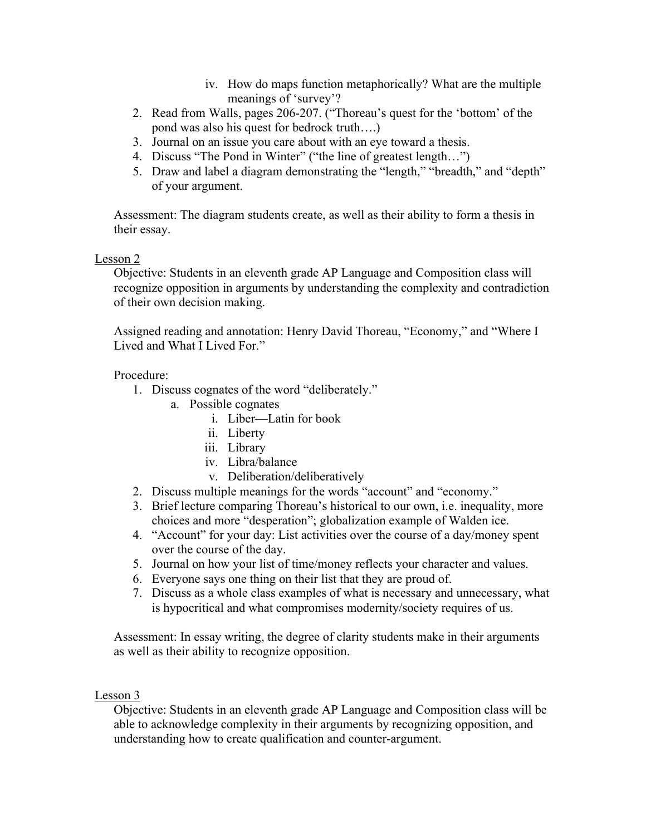- iv. How do maps function metaphorically? What are the multiple meanings of 'survey'?
- 2. Read from Walls, pages 206-207. ("Thoreau's quest for the 'bottom' of the pond was also his quest for bedrock truth….)
- 3. Journal on an issue you care about with an eye toward a thesis.
- 4. Discuss "The Pond in Winter" ("the line of greatest length…")
- 5. Draw and label a diagram demonstrating the "length," "breadth," and "depth" of your argument.

Assessment: The diagram students create, as well as their ability to form a thesis in their essay.

# Lesson 2

Objective: Students in an eleventh grade AP Language and Composition class will recognize opposition in arguments by understanding the complexity and contradiction of their own decision making.

Assigned reading and annotation: Henry David Thoreau, "Economy," and "Where I Lived and What I Lived For."

# Procedure:

- 1. Discuss cognates of the word "deliberately."
	- a. Possible cognates
		- i. Liber—Latin for book
		- ii. Liberty
		- iii. Library
		- iv. Libra/balance
		- v. Deliberation/deliberatively
- 2. Discuss multiple meanings for the words "account" and "economy."
- 3. Brief lecture comparing Thoreau's historical to our own, i.e. inequality, more choices and more "desperation"; globalization example of Walden ice.
- 4. "Account" for your day: List activities over the course of a day/money spent over the course of the day.
- 5. Journal on how your list of time/money reflects your character and values.
- 6. Everyone says one thing on their list that they are proud of.
- 7. Discuss as a whole class examples of what is necessary and unnecessary, what is hypocritical and what compromises modernity/society requires of us.

Assessment: In essay writing, the degree of clarity students make in their arguments as well as their ability to recognize opposition.

# Lesson 3

Objective: Students in an eleventh grade AP Language and Composition class will be able to acknowledge complexity in their arguments by recognizing opposition, and understanding how to create qualification and counter-argument.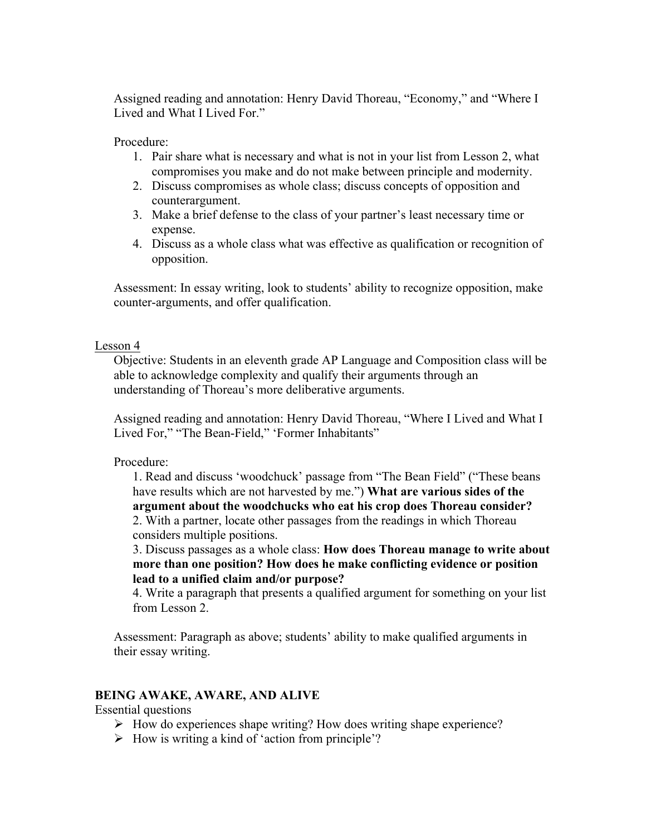Assigned reading and annotation: Henry David Thoreau, "Economy," and "Where I Lived and What I Lived For."

Procedure:

- 1. Pair share what is necessary and what is not in your list from Lesson 2, what compromises you make and do not make between principle and modernity.
- 2. Discuss compromises as whole class; discuss concepts of opposition and counterargument.
- 3. Make a brief defense to the class of your partner's least necessary time or expense.
- 4. Discuss as a whole class what was effective as qualification or recognition of opposition.

Assessment: In essay writing, look to students' ability to recognize opposition, make counter-arguments, and offer qualification.

### Lesson 4

Objective: Students in an eleventh grade AP Language and Composition class will be able to acknowledge complexity and qualify their arguments through an understanding of Thoreau's more deliberative arguments.

Assigned reading and annotation: Henry David Thoreau, "Where I Lived and What I Lived For," "The Bean-Field," 'Former Inhabitants"

# Procedure:

1. Read and discuss 'woodchuck' passage from "The Bean Field" ("These beans have results which are not harvested by me.") **What are various sides of the argument about the woodchucks who eat his crop does Thoreau consider?** 2. With a partner, locate other passages from the readings in which Thoreau considers multiple positions.

3. Discuss passages as a whole class: **How does Thoreau manage to write about more than one position? How does he make conflicting evidence or position lead to a unified claim and/or purpose?**

4. Write a paragraph that presents a qualified argument for something on your list from Lesson 2.

Assessment: Paragraph as above; students' ability to make qualified arguments in their essay writing.

# **BEING AWAKE, AWARE, AND ALIVE**

Essential questions

- $\triangleright$  How do experiences shape writing? How does writing shape experience?
- $\triangleright$  How is writing a kind of 'action from principle'?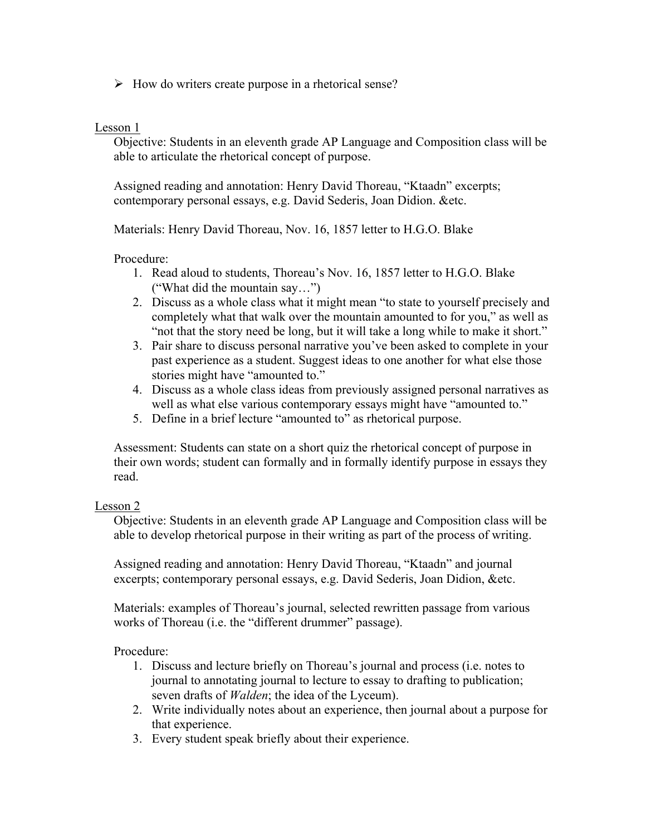$\triangleright$  How do writers create purpose in a rhetorical sense?

#### Lesson 1

Objective: Students in an eleventh grade AP Language and Composition class will be able to articulate the rhetorical concept of purpose.

Assigned reading and annotation: Henry David Thoreau, "Ktaadn" excerpts; contemporary personal essays, e.g. David Sederis, Joan Didion. &etc.

Materials: Henry David Thoreau, Nov. 16, 1857 letter to H.G.O. Blake

#### Procedure:

- 1. Read aloud to students, Thoreau's Nov. 16, 1857 letter to H.G.O. Blake ("What did the mountain say…")
- 2. Discuss as a whole class what it might mean "to state to yourself precisely and completely what that walk over the mountain amounted to for you," as well as "not that the story need be long, but it will take a long while to make it short."
- 3. Pair share to discuss personal narrative you've been asked to complete in your past experience as a student. Suggest ideas to one another for what else those stories might have "amounted to."
- 4. Discuss as a whole class ideas from previously assigned personal narratives as well as what else various contemporary essays might have "amounted to."
- 5. Define in a brief lecture "amounted to" as rhetorical purpose.

Assessment: Students can state on a short quiz the rhetorical concept of purpose in their own words; student can formally and in formally identify purpose in essays they read.

#### Lesson 2

Objective: Students in an eleventh grade AP Language and Composition class will be able to develop rhetorical purpose in their writing as part of the process of writing.

Assigned reading and annotation: Henry David Thoreau, "Ktaadn" and journal excerpts; contemporary personal essays, e.g. David Sederis, Joan Didion, &etc.

Materials: examples of Thoreau's journal, selected rewritten passage from various works of Thoreau (i.e. the "different drummer" passage).

- 1. Discuss and lecture briefly on Thoreau's journal and process (i.e. notes to journal to annotating journal to lecture to essay to drafting to publication; seven drafts of *Walden*; the idea of the Lyceum).
- 2. Write individually notes about an experience, then journal about a purpose for that experience.
- 3. Every student speak briefly about their experience.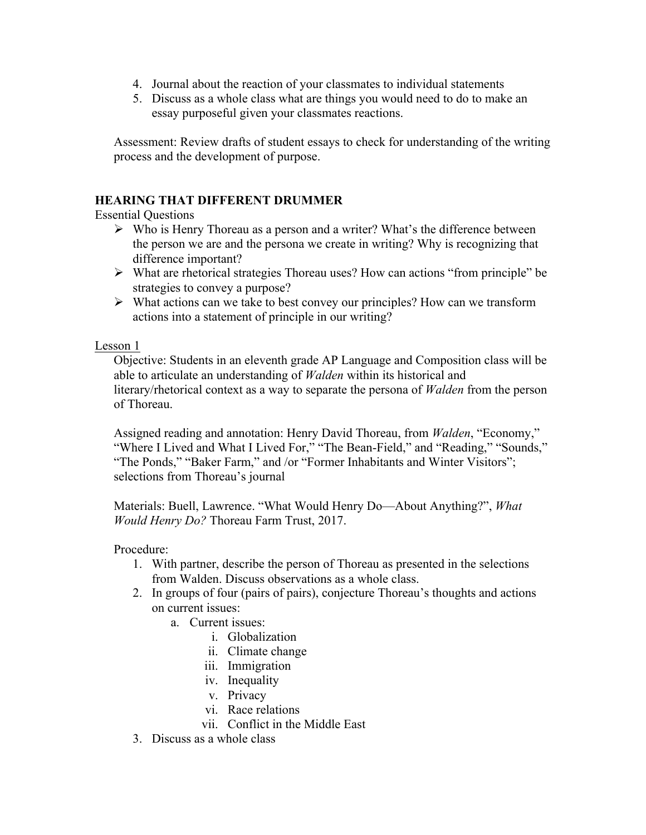- 4. Journal about the reaction of your classmates to individual statements
- 5. Discuss as a whole class what are things you would need to do to make an essay purposeful given your classmates reactions.

Assessment: Review drafts of student essays to check for understanding of the writing process and the development of purpose.

# **HEARING THAT DIFFERENT DRUMMER**

Essential Questions

- $\triangleright$  Who is Henry Thoreau as a person and a writer? What's the difference between the person we are and the persona we create in writing? Why is recognizing that difference important?
- $\triangleright$  What are rhetorical strategies Thoreau uses? How can actions "from principle" be strategies to convey a purpose?
- $\triangleright$  What actions can we take to best convey our principles? How can we transform actions into a statement of principle in our writing?

Lesson 1

Objective: Students in an eleventh grade AP Language and Composition class will be able to articulate an understanding of *Walden* within its historical and literary/rhetorical context as a way to separate the persona of *Walden* from the person of Thoreau.

Assigned reading and annotation: Henry David Thoreau, from *Walden*, "Economy," "Where I Lived and What I Lived For," "The Bean-Field," and "Reading," "Sounds," "The Ponds," "Baker Farm," and /or "Former Inhabitants and Winter Visitors"; selections from Thoreau's journal

Materials: Buell, Lawrence. "What Would Henry Do—About Anything?", *What Would Henry Do?* Thoreau Farm Trust, 2017.

- 1. With partner, describe the person of Thoreau as presented in the selections from Walden. Discuss observations as a whole class.
- 2. In groups of four (pairs of pairs), conjecture Thoreau's thoughts and actions on current issues:
	- a. Current issues:
		- i. Globalization
		- ii. Climate change
		- iii. Immigration
		- iv. Inequality
		- v. Privacy
		- vi. Race relations
		- vii. Conflict in the Middle East
- 3. Discuss as a whole class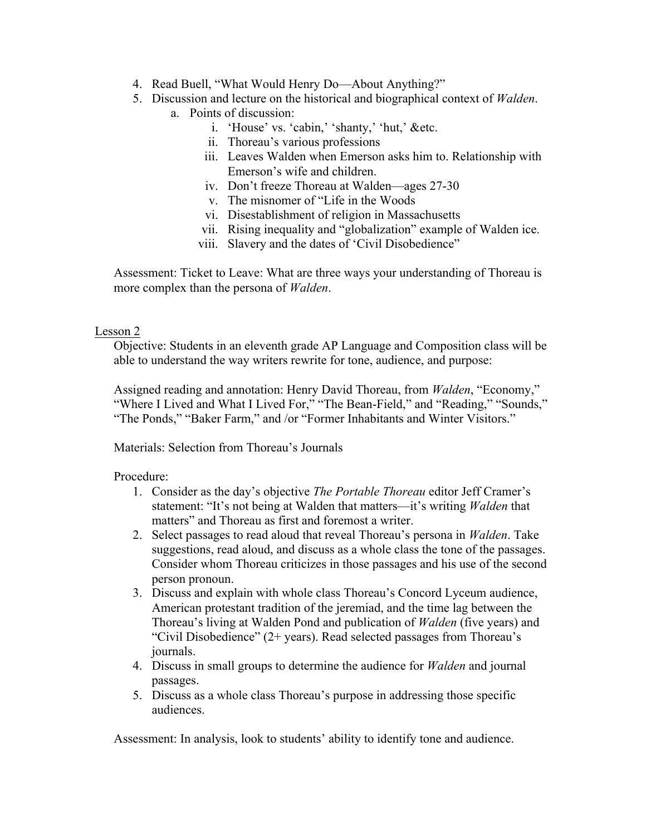- 4. Read Buell, "What Would Henry Do—About Anything?"
- 5. Discussion and lecture on the historical and biographical context of *Walden*.
	- a. Points of discussion:
		- i. 'House' vs. 'cabin,' 'shanty,' 'hut,' &etc.
		- ii. Thoreau's various professions
		- iii. Leaves Walden when Emerson asks him to. Relationship with Emerson's wife and children.
		- iv. Don't freeze Thoreau at Walden—ages 27-30
		- v. The misnomer of "Life in the Woods
		- vi. Disestablishment of religion in Massachusetts
		- vii. Rising inequality and "globalization" example of Walden ice.
		- viii. Slavery and the dates of 'Civil Disobedience"

Assessment: Ticket to Leave: What are three ways your understanding of Thoreau is more complex than the persona of *Walden*.

#### Lesson 2

Objective: Students in an eleventh grade AP Language and Composition class will be able to understand the way writers rewrite for tone, audience, and purpose:

Assigned reading and annotation: Henry David Thoreau, from *Walden*, "Economy," "Where I Lived and What I Lived For," "The Bean-Field," and "Reading," "Sounds," "The Ponds," "Baker Farm," and /or "Former Inhabitants and Winter Visitors."

Materials: Selection from Thoreau's Journals

Procedure:

- 1. Consider as the day's objective *The Portable Thoreau* editor Jeff Cramer's statement: "It's not being at Walden that matters—it's writing *Walden* that matters" and Thoreau as first and foremost a writer.
- 2. Select passages to read aloud that reveal Thoreau's persona in *Walden*. Take suggestions, read aloud, and discuss as a whole class the tone of the passages. Consider whom Thoreau criticizes in those passages and his use of the second person pronoun.
- 3. Discuss and explain with whole class Thoreau's Concord Lyceum audience, American protestant tradition of the jeremiad, and the time lag between the Thoreau's living at Walden Pond and publication of *Walden* (five years) and "Civil Disobedience" (2+ years). Read selected passages from Thoreau's journals.
- 4. Discuss in small groups to determine the audience for *Walden* and journal passages.
- 5. Discuss as a whole class Thoreau's purpose in addressing those specific audiences.

Assessment: In analysis, look to students' ability to identify tone and audience.